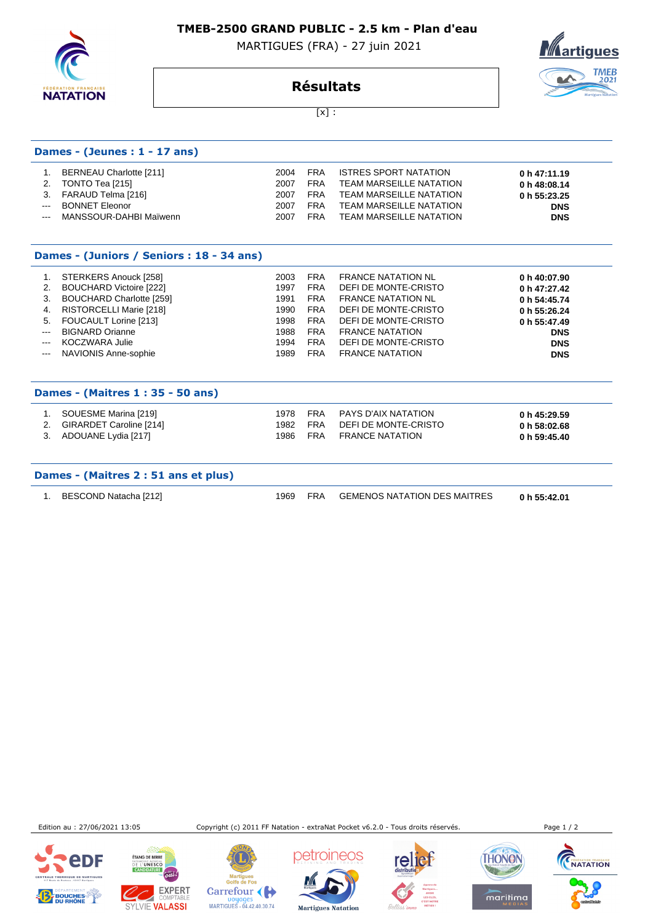**TMEB-2500 GRAND PUBLIC - 2.5 km - Plan d'eau** 

MARTIGUES (FRA) - 27 juin 2021



**Dames - (Jeunes : 1 - 17 ans)**

## **tigues TMEB** 2021

**Résultats**  $[x]$  :

| 1.             | BERNEAU Charlotte [211]                   | 2004 | <b>FRA</b> | <b>ISTRES SPORT NATATION</b>   | 0 h 47:11.19 |  |
|----------------|-------------------------------------------|------|------------|--------------------------------|--------------|--|
| 2.             | TONTO Tea [215]                           | 2007 | <b>FRA</b> | <b>TEAM MARSEILLE NATATION</b> | 0 h 48:08.14 |  |
| 3.             | FARAUD Telma [216]                        | 2007 | <b>FRA</b> | <b>TEAM MARSEILLE NATATION</b> | 0 h 55:23.25 |  |
| $\overline{a}$ | <b>BONNET Eleonor</b>                     | 2007 | <b>FRA</b> | <b>TEAM MARSEILLE NATATION</b> | <b>DNS</b>   |  |
| $---$          | MANSSOUR-DAHBI Maïwenn                    | 2007 | <b>FRA</b> | <b>TEAM MARSEILLE NATATION</b> | <b>DNS</b>   |  |
|                | Dames - (Juniors / Seniors : 18 - 34 ans) |      |            |                                |              |  |
| 1.             | STERKERS Anouck [258]                     | 2003 | <b>FRA</b> | <b>FRANCE NATATION NL</b>      | 0 h 40:07.90 |  |
| 2.             | <b>BOUCHARD Victoire [222]</b>            | 1997 | <b>FRA</b> | DEFI DE MONTE-CRISTO           | 0 h 47:27.42 |  |
| 3.             | <b>BOUCHARD Charlotte [259]</b>           | 1991 | <b>FRA</b> | <b>FRANCE NATATION NL</b>      | 0 h 54:45.74 |  |
| 4.             | RISTORCELLI Marie [218]                   | 1990 | <b>FRA</b> | DEFI DE MONTE-CRISTO           | 0 h 55:26.24 |  |
| 5.             | FOUCAULT Lorine [213]                     | 1998 | <b>FRA</b> | DEFI DE MONTE-CRISTO           | 0 h 55:47.49 |  |
| $---$          | <b>BIGNARD Orianne</b>                    | 1988 | <b>FRA</b> | <b>FRANCE NATATION</b>         | <b>DNS</b>   |  |
| $\frac{1}{2}$  | <b>KOCZWARA Julie</b>                     | 1994 | <b>FRA</b> | <b>DEFI DE MONTE-CRISTO</b>    | <b>DNS</b>   |  |
| $---$          | NAVIONIS Anne-sophie                      | 1989 | <b>FRA</b> | <b>FRANCE NATATION</b>         | <b>DNS</b>   |  |
|                | Dames - (Maitres 1 : 35 - 50 ans)         |      |            |                                |              |  |
| 1.             | SOUESME Marina [219]                      | 1978 | <b>FRA</b> | <b>PAYS D'AIX NATATION</b>     | 0 h 45:29.59 |  |
| 2.             | GIRARDET Caroline [214]                   | 1982 | <b>FRA</b> | DEFI DE MONTE-CRISTO           | 0 h 58:02.68 |  |
| 3.             | ADOUANE Lydia [217]                       | 1986 | <b>FRA</b> | <b>FRANCE NATATION</b>         | 0 h 59:45.40 |  |
|                |                                           |      |            |                                |              |  |

## **Dames - (Maitres 2 : 51 ans et plus)**

1. BESCOND Natacha [212] 1969 FRA GEMENOS NATATION DES MAITRES **0 h 55:42.01** 

Edition au : 27/06/2021 13:05 Copyright (c) 2011 FF Natation - extraNat Pocket v6.2.0 - Tous droits réservés. Page 1 / 2







ngun.<br>He Carrefour ( Doyages<br>MARTIGUES - 04.42.40.30.74